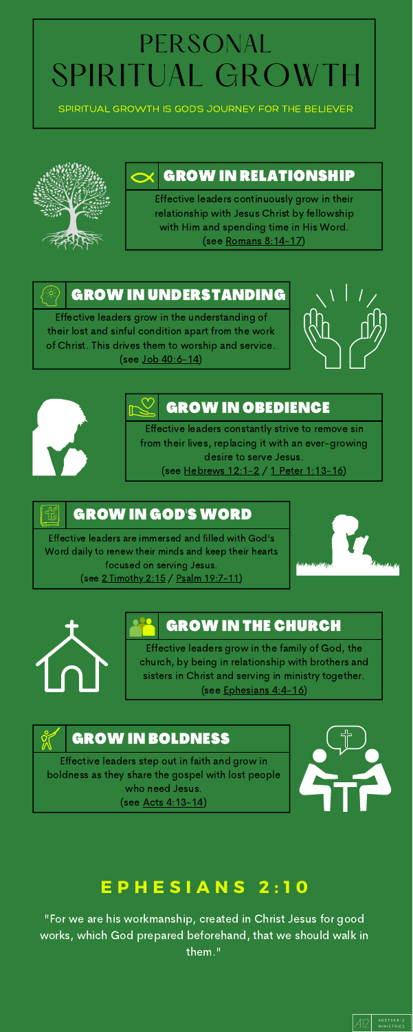### PERSONAL SPIRITUAL GROWTH

#### GROW IN BOLDNESS

### GROW IN GOD'S WORD

### GROW IN THE CHURCH

#### GROW IN OBEDIENCE

#### GROW IN UNDERSTANDING

### GROW IN RELATIONSHIP

Effective leaders continuously grow in their relationship with Jesus Christ by fellowship with Him and spending time in His Word. (see Romans [8:14-17\)](https://www.biblegateway.com/passage/?search=Romans+8%3A14-17&version=ESV)

Effective leaders grow in the understanding of their lost and sinful condition apart from the work of Christ. This drives them to worship and service. (see Job [40:6-14\)](https://www.biblegateway.com/passage/?search=Job+40%3A6-14&version=ESV)





Effective leaders constantly strive to remove sin from their lives, replacing it with an ever-growing desire to serve Jesus.

(see [Hebrews](https://www.biblegateway.com/passage/?search=Hebrews+12%3A1-2&version=ESV) 12:1-2 / 1 Peter [1:13-16\)](https://www.biblegateway.com/passage/?search=1+Peter+1%3A13-16&version=ESV)

Effective leaders grow in the family of God, the church, by being in relationship with brothers and sisters in Christ and serving in ministry together. (see [Ephesians](https://www.biblegateway.com/passage/?search=Ephesians+4%3A4-16&version=ESV) 4:4-16)

Effective leaders step out in faith and grow in boldness as they share the gospel with lost people who need Jesus. (see Acts [4:13-14](https://www.biblegateway.com/passage/?search=Acts+4%3A13-14&version=ESV))



Effective leaders are immersed and filled with God's Word daily to renew their minds and keep their hearts focused on serving Jesus. (see 2 [Timothy](https://www.biblegateway.com/passage/?search=2+Timothy+2%3A15&version=ESV) 2:15 / Psalm [19:7-11](https://www.biblegateway.com/passage/?search=Psalm+19%3A7-11&version=ESV))









SPIRITUAL GROWTH IS GOD'S JOURNEY FOR THE BELIEVER



### **E P H E S I A N S 2 : 1 0**

"For we are his workmanship, created in Christ Jesus for good works, which God prepared beforehand, that we should walk in them."

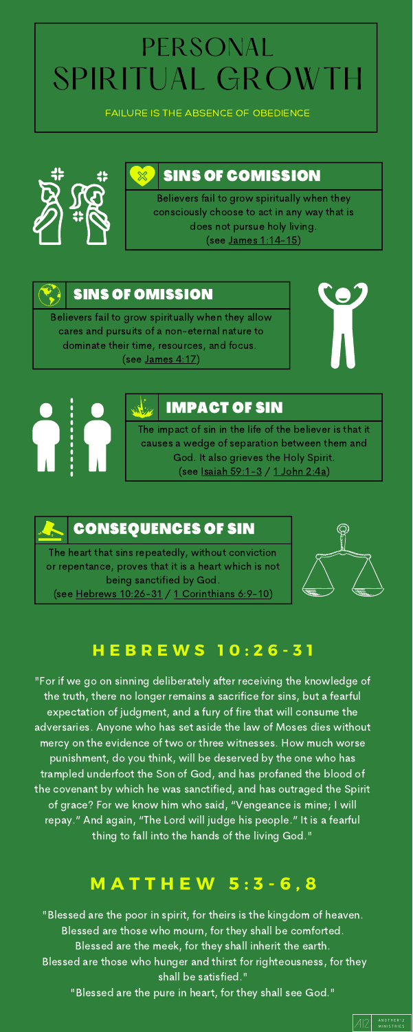#### CONSEQUENCES OF SIN

#### IMPACT OF SIN

#### SINS OF OMISSION

#### SINS OF COMISSION

Believers fail to grow spiritually when they consciously choose to act in any way that is does not pursue holy living. (see James [1:14-15\)](https://www.biblegateway.com/passage/?search=James+1%3A14-15&version=ESV)

Believers fail to grow spiritually when they allow cares and pursuits of a non-eternal nature to dominate their time, resources, and focus. (see [James](https://www.biblegateway.com/passage/?search=James+4%3A17&version=ESV) 4:17)





The impact of sin in the life of the believer is that it causes a wedge of separation between them and God. It also grieves the Holy Spirit. (see Isaiah [59:1-3](https://www.biblegateway.com/passage/?search=Isaiah+59%3A1-3&version=ESV) / 1 [John](https://www.biblegateway.com/passage/?search=1+John+2%3A4a&version=ESV) 2:4a)

The heart that sins repeatedly, without conviction or repentance, proves that it is a heart which is not being sanctified by God.

(see Hebrews [10:26-31](https://www.biblegateway.com/passage/?search=Hebrews+10%3A26-31&version=ESV) / 1 [Corinthians](https://www.biblegateway.com/passage/?search=1+Corinthians+6%3A9-10&version=ESV) 6:9-10)



#### **H E B R E W S 1 0 : 2 6 - 3 1**

"For if we go on sinning deliberately after receiving the knowledge of the truth, there no longer remains a sacrifice for sins, but a fearful expectation of judgment, and a fury of fire that will consume the adversaries. Anyone who has set aside the law of Moses dies without mercy on the evidence of two or three witnesses. How much worse punishment, do you think, will be deserved by the one who has trampled underfoot the Son of God, and has profaned the blood of the covenant by which he was sanctified, and has outraged the Spirit of grace? For we know him who said, "Vengeance is mine; I will repay." And again, "The Lord will judge his people." It is a fearful thing to fall into the hands of the living God."

# PERSONAL SPIRITUAL GROWTH

FAILURE IS THE ABSENCE OF OBEDIENCE



#### **M A T T H E W 5 : 3 - 6 , 8**

"Blessed are the poor in spirit, for theirs is the kingdom of heaven. Blessed are those who mourn, for they shall be comforted. Blessed are the meek, for they shall inherit the earth. Blessed are those who hunger and thirst for righteousness, for they shall be satisfied."

"Blessed are the pure in heart, for they shall see God."